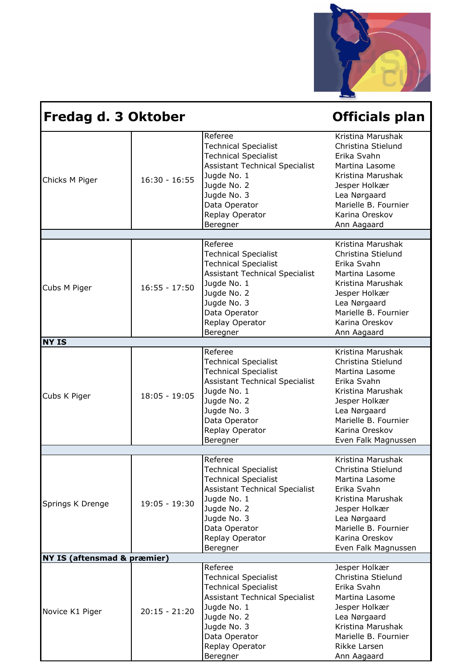

| Fredag d. 3 Oktober                    |                 |                                                                                                                                                                                                             | <b>Officials plan</b>                                                                                                                                                                           |
|----------------------------------------|-----------------|-------------------------------------------------------------------------------------------------------------------------------------------------------------------------------------------------------------|-------------------------------------------------------------------------------------------------------------------------------------------------------------------------------------------------|
| Chicks M Piger                         | $16:30 - 16:55$ | Referee<br><b>Technical Specialist</b><br><b>Technical Specialist</b><br><b>Assistant Technical Specialist</b><br>Jugde No. 1<br>Jugde No. 2<br>Jugde No. 3<br>Data Operator<br>Replay Operator<br>Beregner | Kristina Marushak<br>Christina Stielund<br>Erika Svahn<br>Martina Lasome<br>Kristina Marushak<br>Jesper Holkær<br>Lea Nørgaard<br>Marielle B. Fournier<br>Karina Oreskov<br>Ann Aagaard         |
|                                        |                 |                                                                                                                                                                                                             |                                                                                                                                                                                                 |
| Cubs M Piger                           | $16:55 - 17:50$ | Referee<br><b>Technical Specialist</b><br><b>Technical Specialist</b><br><b>Assistant Technical Specialist</b><br>Jugde No. 1<br>Jugde No. 2<br>Jugde No. 3<br>Data Operator<br>Replay Operator<br>Beregner | Kristina Marushak<br>Christina Stielund<br>Erika Svahn<br>Martina Lasome<br>Kristina Marushak<br>Jesper Holkær<br>Lea Nørgaard<br>Marielle B. Fournier<br>Karina Oreskov<br>Ann Aagaard         |
| <b>NY IS</b>                           |                 |                                                                                                                                                                                                             |                                                                                                                                                                                                 |
| Cubs K Piger                           | $18:05 - 19:05$ | Referee<br><b>Technical Specialist</b><br><b>Technical Specialist</b><br><b>Assistant Technical Specialist</b><br>Jugde No. 1<br>Jugde No. 2<br>Jugde No. 3<br>Data Operator<br>Replay Operator<br>Beregner | Kristina Marushak<br>Christina Stielund<br>Martina Lasome<br>Erika Svahn<br>Kristina Marushak<br>Jesper Holkær<br>Lea Nørgaard<br>Marielle B. Fournier<br>Karina Oreskov<br>Even Falk Magnussen |
|                                        |                 |                                                                                                                                                                                                             |                                                                                                                                                                                                 |
| Springs K Drenge                       | 19:05 - 19:30   | Referee<br><b>Technical Specialist</b><br><b>Technical Specialist</b><br><b>Assistant Technical Specialist</b><br>Jugde No. 1<br>Jugde No. 2<br>Jugde No. 3<br>Data Operator<br>Replay Operator<br>Beregner | Kristina Marushak<br>Christina Stielund<br>Martina Lasome<br>Erika Svahn<br>Kristina Marushak<br>Jesper Holkær<br>Lea Nørgaard<br>Marielle B. Fournier<br>Karina Oreskov<br>Even Falk Magnussen |
| <b>NY IS (aftensmad &amp; præmier)</b> |                 |                                                                                                                                                                                                             |                                                                                                                                                                                                 |
| Novice K1 Piger                        | $20:15 - 21:20$ | Referee<br><b>Technical Specialist</b><br><b>Technical Specialist</b><br><b>Assistant Technical Specialist</b><br>Jugde No. 1<br>Jugde No. 2<br>Jugde No. 3<br>Data Operator<br>Replay Operator<br>Beregner | Jesper Holkær<br>Christina Stielund<br>Erika Svahn<br>Martina Lasome<br>Jesper Holkær<br>Lea Nørgaard<br>Kristina Marushak<br>Marielle B. Fournier<br>Rikke Larsen<br>Ann Aagaard               |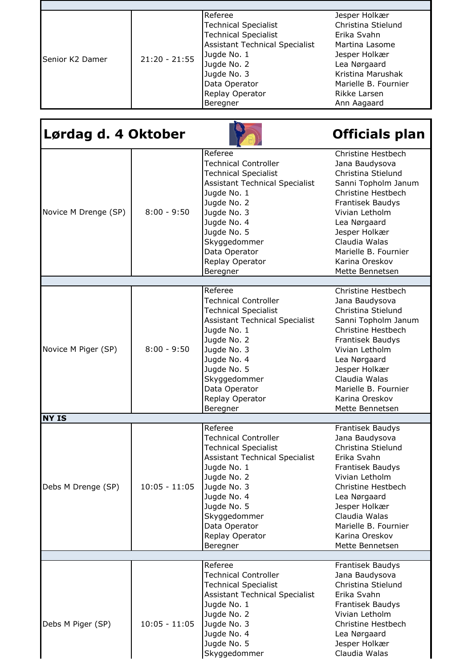| Referee<br><b>Technical Specialist</b><br><b>Technical Specialist</b><br><b>Assistant Technical Specialist</b><br>Jugde No. 1<br>$21:20 - 21:55$<br>Senior K2 Damer<br>Jugde No. 2<br>Jugde No. 3<br>Data Operator<br>Replay Operator<br>Beregner | Jesper Holkær<br>Christina Stielund<br>Erika Svahn<br>Martina Lasome<br>Jesper Holkær<br>Lea Nørgaard<br>Kristina Marushak<br>Marielle B. Fournier<br>Rikke Larsen<br>Ann Aagaard |
|---------------------------------------------------------------------------------------------------------------------------------------------------------------------------------------------------------------------------------------------------|-----------------------------------------------------------------------------------------------------------------------------------------------------------------------------------|

| Lørdag d. 4 Oktober  |                 |                                                                                                                                                                                                                                                           | <b>Officials plan</b>                                                                                                                                                                                                                                               |
|----------------------|-----------------|-----------------------------------------------------------------------------------------------------------------------------------------------------------------------------------------------------------------------------------------------------------|---------------------------------------------------------------------------------------------------------------------------------------------------------------------------------------------------------------------------------------------------------------------|
| Novice M Drenge (SP) | $8:00 - 9:50$   | Referee<br><b>Technical Controller</b><br><b>Technical Specialist</b><br><b>Assistant Technical Specialist</b><br>Jugde No. 1<br>Jugde No. 2<br>Jugde No. 3<br>Jugde No. 4<br>Jugde No. 5<br>Skyggedommer<br>Data Operator<br>Replay Operator<br>Beregner | <b>Christine Hestbech</b><br>Jana Baudysova<br>Christina Stielund<br>Sanni Topholm Janum<br>Christine Hestbech<br>Frantisek Baudys<br>Vivian Letholm<br>Lea Nørgaard<br>Jesper Holkær<br>Claudia Walas<br>Marielle B. Fournier<br>Karina Oreskov<br>Mette Bennetsen |
|                      |                 |                                                                                                                                                                                                                                                           |                                                                                                                                                                                                                                                                     |
| Novice M Piger (SP)  | $8:00 - 9:50$   | Referee<br><b>Technical Controller</b><br><b>Technical Specialist</b><br><b>Assistant Technical Specialist</b><br>Jugde No. 1<br>Jugde No. 2<br>Jugde No. 3<br>Jugde No. 4<br>Jugde No. 5<br>Skyggedommer<br>Data Operator<br>Replay Operator<br>Beregner | Christine Hestbech<br>Jana Baudysova<br>Christina Stielund<br>Sanni Topholm Janum<br>Christine Hestbech<br>Frantisek Baudys<br>Vivian Letholm<br>Lea Nørgaard<br>Jesper Holkær<br>Claudia Walas<br>Marielle B. Fournier<br>Karina Oreskov<br>Mette Bennetsen        |
| <b>NY IS</b>         |                 |                                                                                                                                                                                                                                                           |                                                                                                                                                                                                                                                                     |
| Debs M Drenge (SP)   | $10:05 - 11:05$ | Referee<br><b>Technical Controller</b><br><b>Technical Specialist</b><br><b>Assistant Technical Specialist</b><br>Jugde No. 1<br>Jugde No. 2<br>Jugde No. 3<br>Jugde No. 4<br>Jugde No. 5<br>Skyggedommer<br>Data Operator<br>Replay Operator<br>Beregner | Frantisek Baudys<br>Jana Baudysova<br>Christina Stielund<br>Erika Svahn<br>Frantisek Baudys<br>Vivian Letholm<br>Christine Hestbech<br>Lea Nørgaard<br>Jesper Holkær<br>Claudia Walas<br>Marielle B. Fournier<br>Karina Oreskov<br>Mette Bennetsen                  |
|                      |                 | Referee                                                                                                                                                                                                                                                   | Frantisek Baudys                                                                                                                                                                                                                                                    |
| Debs M Piger (SP)    | $10:05 - 11:05$ | <b>Technical Controller</b><br><b>Technical Specialist</b><br><b>Assistant Technical Specialist</b><br>Jugde No. 1<br>Jugde No. 2<br>Jugde No. 3<br>Jugde No. 4<br>Jugde No. 5<br>Skyggedommer                                                            | Jana Baudysova<br>Christina Stielund<br>Erika Svahn<br>Frantisek Baudys<br>Vivian Letholm<br>Christine Hestbech<br>Lea Nørgaard<br>Jesper Holkær<br>Claudia Walas                                                                                                   |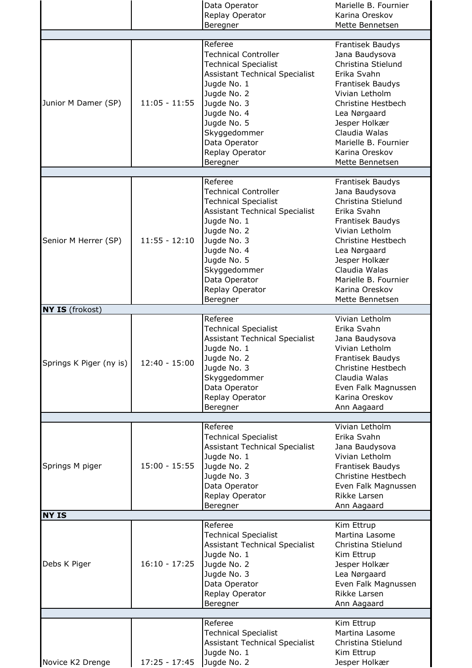|                         |                 | Data Operator<br>Replay Operator<br>Beregner                                                                                                                                                                                                              | Marielle B. Fournier<br>Karina Oreskov<br>Mette Bennetsen                                                                                                                                                                                          |
|-------------------------|-----------------|-----------------------------------------------------------------------------------------------------------------------------------------------------------------------------------------------------------------------------------------------------------|----------------------------------------------------------------------------------------------------------------------------------------------------------------------------------------------------------------------------------------------------|
| Junior M Damer (SP)     | $11:05 - 11:55$ | Referee<br><b>Technical Controller</b><br><b>Technical Specialist</b><br><b>Assistant Technical Specialist</b><br>Jugde No. 1<br>Jugde No. 2<br>Jugde No. 3<br>Jugde No. 4<br>Jugde No. 5<br>Skyggedommer                                                 | Frantisek Baudys<br>Jana Baudysova<br>Christina Stielund<br>Erika Svahn<br>Frantisek Baudys<br>Vivian Letholm<br>Christine Hestbech<br>Lea Nørgaard<br>Jesper Holkær<br>Claudia Walas                                                              |
|                         |                 | Data Operator<br>Replay Operator<br>Beregner                                                                                                                                                                                                              | Marielle B. Fournier<br>Karina Oreskov<br>Mette Bennetsen                                                                                                                                                                                          |
| Senior M Herrer (SP)    | $11:55 - 12:10$ | Referee<br><b>Technical Controller</b><br><b>Technical Specialist</b><br><b>Assistant Technical Specialist</b><br>Jugde No. 1<br>Jugde No. 2<br>Jugde No. 3<br>Jugde No. 4<br>Jugde No. 5<br>Skyggedommer<br>Data Operator<br>Replay Operator<br>Beregner | Frantisek Baudys<br>Jana Baudysova<br>Christina Stielund<br>Erika Svahn<br>Frantisek Baudys<br>Vivian Letholm<br>Christine Hestbech<br>Lea Nørgaard<br>Jesper Holkær<br>Claudia Walas<br>Marielle B. Fournier<br>Karina Oreskov<br>Mette Bennetsen |
| <b>NY IS</b> (frokost)  |                 |                                                                                                                                                                                                                                                           |                                                                                                                                                                                                                                                    |
| Springs K Piger (ny is) | $12:40 - 15:00$ | Referee<br><b>Technical Specialist</b><br><b>Assistant Technical Specialist</b><br>Jugde No. 1<br>Jugde No. 2<br>Jugde No. 3<br>Skyggedommer<br>Data Operator<br>Replay Operator<br>Beregner                                                              | Vivian Letholm<br>Erika Svahn<br>Jana Baudysova<br>Vivian Letholm<br>Frantisek Baudys<br>Christine Hestbech<br>Claudia Walas<br>Even Falk Magnussen<br>Karina Oreskov<br>Ann Aagaard                                                               |
|                         |                 |                                                                                                                                                                                                                                                           |                                                                                                                                                                                                                                                    |
| Springs M piger         | $15:00 - 15:55$ | Referee<br><b>Technical Specialist</b><br><b>Assistant Technical Specialist</b><br>Jugde No. 1<br>Jugde No. 2<br>Jugde No. 3<br>Data Operator<br>Replay Operator<br>Beregner                                                                              | Vivian Letholm<br>Erika Svahn<br>Jana Baudysova<br>Vivian Letholm<br>Frantisek Baudys<br>Christine Hestbech<br>Even Falk Magnussen<br>Rikke Larsen<br>Ann Aagaard                                                                                  |
| <b>NY IS</b>            |                 |                                                                                                                                                                                                                                                           |                                                                                                                                                                                                                                                    |
| Debs K Piger            | $16:10 - 17:25$ | Referee<br><b>Technical Specialist</b><br><b>Assistant Technical Specialist</b><br>Jugde No. 1<br>Jugde No. 2<br>Jugde No. 3<br>Data Operator<br>Replay Operator<br>Beregner                                                                              | Kim Ettrup<br>Martina Lasome<br>Christina Stielund<br>Kim Ettrup<br>Jesper Holkær<br>Lea Nørgaard<br>Even Falk Magnussen<br>Rikke Larsen<br>Ann Aagaard                                                                                            |
| Novice K2 Drenge        | $17:25 - 17:45$ | Referee<br><b>Technical Specialist</b><br><b>Assistant Technical Specialist</b><br>Jugde No. 1<br>Jugde No. 2                                                                                                                                             | Kim Ettrup<br>Martina Lasome<br>Christina Stielund<br>Kim Ettrup<br>Jesper Holkær                                                                                                                                                                  |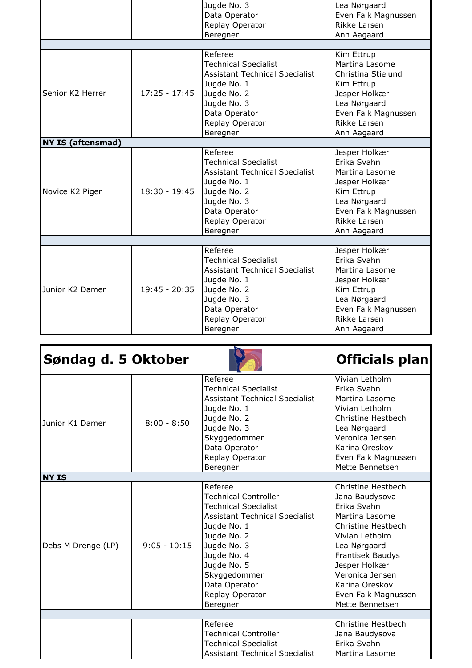|                          |                 | Jugde No. 3                           | Lea Nørgaard        |
|--------------------------|-----------------|---------------------------------------|---------------------|
|                          |                 | Data Operator                         | Even Falk Magnussen |
|                          |                 | Replay Operator                       | Rikke Larsen        |
|                          |                 | Beregner                              | Ann Aagaard         |
|                          |                 |                                       |                     |
|                          |                 | Referee                               | Kim Ettrup          |
|                          |                 | <b>Technical Specialist</b>           | Martina Lasome      |
|                          |                 | <b>Assistant Technical Specialist</b> | Christina Stielund  |
|                          |                 | Jugde No. 1                           | Kim Ettrup          |
| Senior K2 Herrer         | $17:25 - 17:45$ | Jugde No. 2                           | Jesper Holkær       |
|                          |                 | Jugde No. 3                           | Lea Nørgaard        |
|                          |                 | Data Operator                         | Even Falk Magnussen |
|                          |                 | Replay Operator                       | Rikke Larsen        |
|                          |                 | Beregner                              | Ann Aagaard         |
| <b>NY IS (aftensmad)</b> |                 |                                       |                     |
|                          |                 | Referee                               | Jesper Holkær       |
|                          | $18:30 - 19:45$ | <b>Technical Specialist</b>           | Frika Svahn         |
|                          |                 | <b>Assistant Technical Specialist</b> | Martina Lasome      |
|                          |                 | Jugde No. 1                           | Jesper Holkær       |
| Novice K2 Piger          |                 | Jugde No. 2                           | Kim Ettrup          |
|                          |                 | Jugde No. 3                           | Lea Nørgaard        |
|                          |                 | Data Operator                         | Even Falk Magnussen |
|                          |                 | Replay Operator                       | Rikke Larsen        |
|                          |                 | Beregner                              | Ann Aagaard         |
|                          |                 |                                       |                     |
|                          | $19:45 - 20:35$ | Referee                               | Jesper Holkær       |
|                          |                 | <b>Technical Specialist</b>           | Erika Svahn         |
| Junior K2 Damer          |                 | <b>Assistant Technical Specialist</b> | Martina Lasome      |
|                          |                 | Jugde No. 1                           | Jesper Holkær       |
|                          |                 | Jugde No. 2                           | Kim Ettrup          |
|                          |                 | Jugde No. 3                           | Lea Nørgaard        |
|                          |                 | Data Operator                         | Even Falk Magnussen |
|                          |                 | Replay Operator                       | Rikke Larsen        |
|                          |                 | Beregner                              | Ann Aagaard         |

| Søndag d. 5 Oktober |                |                                                                                                                                                                                                                                                           | Officials plan                                                                                                                                                                                                                                    |
|---------------------|----------------|-----------------------------------------------------------------------------------------------------------------------------------------------------------------------------------------------------------------------------------------------------------|---------------------------------------------------------------------------------------------------------------------------------------------------------------------------------------------------------------------------------------------------|
| Junior K1 Damer     | $8:00 - 8:50$  | Referee<br><b>Technical Specialist</b><br><b>Assistant Technical Specialist</b><br>Jugde No. 1<br>Jugde No. 2<br>Jugde No. 3<br>Skyggedommer<br>Data Operator<br>Replay Operator<br>Beregner                                                              | Vivian Letholm<br>Erika Svahn<br>Martina Lasome<br>Vivian Letholm<br>Christine Hestbech<br>Lea Nørgaard<br>Veronica Jensen<br>Karina Oreskov<br>Even Falk Magnussen<br>Mette Bennetsen                                                            |
| <b>NY IS</b>        |                |                                                                                                                                                                                                                                                           |                                                                                                                                                                                                                                                   |
| Debs M Drenge (LP)  | $9:05 - 10:15$ | Referee<br><b>Technical Controller</b><br><b>Technical Specialist</b><br><b>Assistant Technical Specialist</b><br>Jugde No. 1<br>Jugde No. 2<br>Jugde No. 3<br>Jugde No. 4<br>Jugde No. 5<br>Skyggedommer<br>Data Operator<br>Replay Operator<br>Beregner | Christine Hestbech<br>Jana Baudysova<br>Erika Svahn<br>Martina Lasome<br>Christine Hestbech<br>Vivian Letholm<br>Lea Nørgaard<br>Frantisek Baudys<br>Jesper Holkær<br>Veronica Jensen<br>Karina Oreskov<br>Even Falk Magnussen<br>Mette Bennetsen |
|                     |                |                                                                                                                                                                                                                                                           |                                                                                                                                                                                                                                                   |
|                     |                | Referee<br><b>Technical Controller</b><br><b>Technical Specialist</b><br><b>Assistant Technical Specialist</b>                                                                                                                                            | Christine Hestbech<br>Jana Baudysova<br>Erika Svahn<br>Martina Lasome                                                                                                                                                                             |